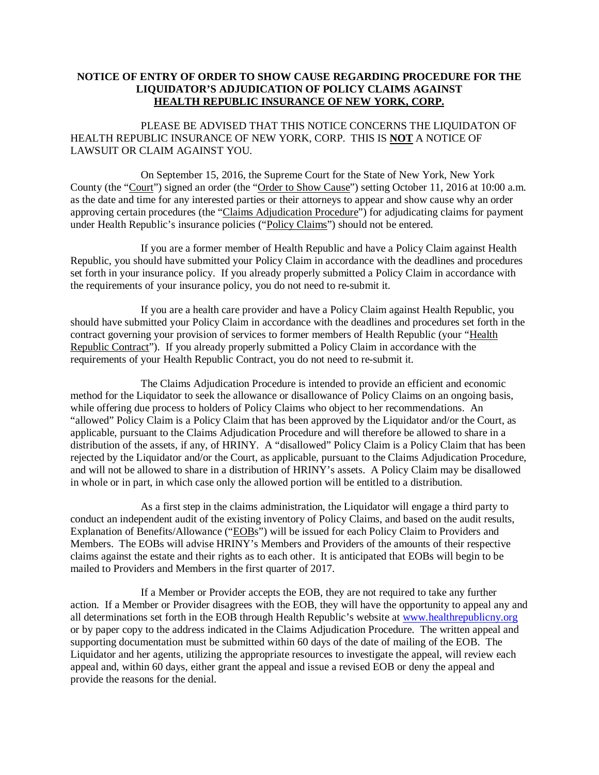## **NOTICE OF ENTRY OF ORDER TO SHOW CAUSE REGARDING PROCEDURE FOR THE LIQUIDATOR'S ADJUDICATION OF POLICY CLAIMS AGAINST HEALTH REPUBLIC INSURANCE OF NEW YORK, CORP.**

 PLEASE BE ADVISED THAT THIS NOTICE CONCERNS THE LIQUIDATON OF HEALTH REPUBLIC INSURANCE OF NEW YORK, CORP. THIS IS **NOT** A NOTICE OF LAWSUIT OR CLAIM AGAINST YOU.

 On September 15, 2016, the Supreme Court for the State of New York, New York County (the "Court") signed an order (the "Order to Show Cause") setting October 11, 2016 at 10:00 a.m. as the date and time for any interested parties or their attorneys to appear and show cause why an order approving certain procedures (the "Claims Adjudication Procedure") for adjudicating claims for payment under Health Republic's insurance policies ("Policy Claims") should not be entered.

 If you are a former member of Health Republic and have a Policy Claim against Health Republic, you should have submitted your Policy Claim in accordance with the deadlines and procedures set forth in your insurance policy. If you already properly submitted a Policy Claim in accordance with the requirements of your insurance policy, you do not need to re-submit it.

 If you are a health care provider and have a Policy Claim against Health Republic, you should have submitted your Policy Claim in accordance with the deadlines and procedures set forth in the contract governing your provision of services to former members of Health Republic (your "Health Republic Contract"). If you already properly submitted a Policy Claim in accordance with the requirements of your Health Republic Contract, you do not need to re-submit it.

 The Claims Adjudication Procedure is intended to provide an efficient and economic method for the Liquidator to seek the allowance or disallowance of Policy Claims on an ongoing basis, while offering due process to holders of Policy Claims who object to her recommendations. An "allowed" Policy Claim is a Policy Claim that has been approved by the Liquidator and/or the Court, as applicable, pursuant to the Claims Adjudication Procedure and will therefore be allowed to share in a distribution of the assets, if any, of HRINY. A "disallowed" Policy Claim is a Policy Claim that has been rejected by the Liquidator and/or the Court, as applicable, pursuant to the Claims Adjudication Procedure, and will not be allowed to share in a distribution of HRINY's assets. A Policy Claim may be disallowed in whole or in part, in which case only the allowed portion will be entitled to a distribution.

 As a first step in the claims administration, the Liquidator will engage a third party to conduct an independent audit of the existing inventory of Policy Claims, and based on the audit results, Explanation of Benefits/Allowance ("EOBs") will be issued for each Policy Claim to Providers and Members. The EOBs will advise HRINY's Members and Providers of the amounts of their respective claims against the estate and their rights as to each other. It is anticipated that EOBs will begin to be mailed to Providers and Members in the first quarter of 2017.

 If a Member or Provider accepts the EOB, they are not required to take any further action. If a Member or Provider disagrees with the EOB, they will have the opportunity to appeal any and all determinations set forth in the EOB through Health Republic's website at www.healthrepublicny.org or by paper copy to the address indicated in the Claims Adjudication Procedure. The written appeal and supporting documentation must be submitted within 60 days of the date of mailing of the EOB. The Liquidator and her agents, utilizing the appropriate resources to investigate the appeal, will review each appeal and, within 60 days, either grant the appeal and issue a revised EOB or deny the appeal and provide the reasons for the denial.